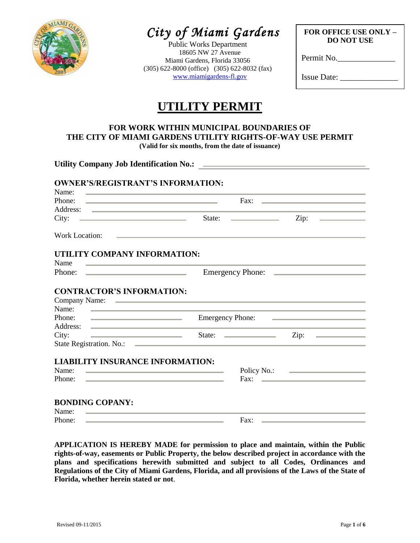

# *City of Miami Gardens*

Public Works Department 18605 NW 27 Avenue Miami Gardens, Florida 33056 (305) 622-8000 (office) (305) 622-8032 (fax) [www.miamigardens-fl.gov](http://www.miamigardens-fl.gov/)

**FOR OFFICE USE ONLY – DO NOT USE**

Permit No.

Issue Date: \_\_\_\_\_\_\_\_\_\_\_\_\_\_

## **UTILITY PERMIT**

## **FOR WORK WITHIN MUNICIPAL BOUNDARIES OF THE CITY OF MIAMI GARDENS UTILITY RIGHTS-OF-WAY USE PERMIT**

**(Valid for six months, from the date of issuance)**

| Name:<br>Phone:                                                                                                                                                                                                                               | <u> 1989 - Andrea Stadt, fransk politiker (d. 1989)</u><br>Fax: $\qquad \qquad$                                                                                                                                                      |                                                                                                                        |  |  |  |  |  |
|-----------------------------------------------------------------------------------------------------------------------------------------------------------------------------------------------------------------------------------------------|--------------------------------------------------------------------------------------------------------------------------------------------------------------------------------------------------------------------------------------|------------------------------------------------------------------------------------------------------------------------|--|--|--|--|--|
|                                                                                                                                                                                                                                               |                                                                                                                                                                                                                                      | <u> 1989 - Johann Stein, mars an de Frankryk († 1958)</u>                                                              |  |  |  |  |  |
| City:                                                                                                                                                                                                                                         | State:                                                                                                                                                                                                                               | Zip:<br><u> De Carlos de Carlos de Carlos de Ca</u>                                                                    |  |  |  |  |  |
| <b>Work Location:</b>                                                                                                                                                                                                                         | <u>state and the state of the state of the state of the state of the state of the state of the state of the state of the state of the state of the state of the state of the state of the state of the state of the state of the</u> |                                                                                                                        |  |  |  |  |  |
| UTILITY COMPANY INFORMATION:                                                                                                                                                                                                                  |                                                                                                                                                                                                                                      |                                                                                                                        |  |  |  |  |  |
| Name<br><u> The Communication of the Communication of</u>                                                                                                                                                                                     |                                                                                                                                                                                                                                      |                                                                                                                        |  |  |  |  |  |
| Phone:<br><u> 1989 - John Stein, Amerikaansk politiker (</u>                                                                                                                                                                                  |                                                                                                                                                                                                                                      | Emergency Phone:                                                                                                       |  |  |  |  |  |
| Name:<br>Phone: $\qquad \qquad$<br>Address:<br><u> Alexandria de la contrada de la contrada de la contrada de la contrada de la contrada de la contrada de la c</u>                                                                           | <u> 1989 - Andrea Stadt Britain, amerikansk politik (</u><br><b>Emergency Phone:</b>                                                                                                                                                 | <u> The Common State of the Common State of the Common State of the Common State of the Common State of the Common</u> |  |  |  |  |  |
| City:<br><u> Andreas Andreas Andreas Andreas Andreas Andreas Andreas Andreas Andreas Andreas Andreas Andreas Andreas Andreas Andreas Andreas Andreas Andreas Andreas Andreas Andreas Andreas Andreas Andreas Andreas Andreas Andreas Andr</u> |                                                                                                                                                                                                                                      | Zip: $\qquad \qquad$                                                                                                   |  |  |  |  |  |
|                                                                                                                                                                                                                                               |                                                                                                                                                                                                                                      |                                                                                                                        |  |  |  |  |  |
| <b>LIABILITY INSURANCE INFORMATION:</b>                                                                                                                                                                                                       |                                                                                                                                                                                                                                      |                                                                                                                        |  |  |  |  |  |
| Name:                                                                                                                                                                                                                                         |                                                                                                                                                                                                                                      |                                                                                                                        |  |  |  |  |  |
| Phone:                                                                                                                                                                                                                                        | <u> 1990 - Jan Salaman, manazarta da kasas da shekara ta 1991 a shekara ta 1991 a shekara ta 1991 a 1991 a shekara</u>                                                                                                               | Fax: $\qquad \qquad$                                                                                                   |  |  |  |  |  |
|                                                                                                                                                                                                                                               |                                                                                                                                                                                                                                      |                                                                                                                        |  |  |  |  |  |
| <b>BONDING COPANY:</b>                                                                                                                                                                                                                        |                                                                                                                                                                                                                                      |                                                                                                                        |  |  |  |  |  |
| Name:<br><u> 1989 - Andrea Stadt Britain, amerikansk politik (</u>                                                                                                                                                                            |                                                                                                                                                                                                                                      |                                                                                                                        |  |  |  |  |  |
| Phone:                                                                                                                                                                                                                                        | Fax:<br><u> La construcción de la construcción de la construcción de la construcción de la construcción de la construcción </u>                                                                                                      | <u> 1989 - Andrea Stadt Britain, amerikansk politik (</u>                                                              |  |  |  |  |  |
|                                                                                                                                                                                                                                               |                                                                                                                                                                                                                                      |                                                                                                                        |  |  |  |  |  |

**APPLICATION IS HEREBY MADE for permission to place and maintain, within the Public rights-of-way, easements or Public Property, the below described project in accordance with the plans and specifications herewith submitted and subject to all Codes, Ordinances and Regulations of the City of Miami Gardens, Florida, and all provisions of the Laws of the State of Florida, whether herein stated or not**.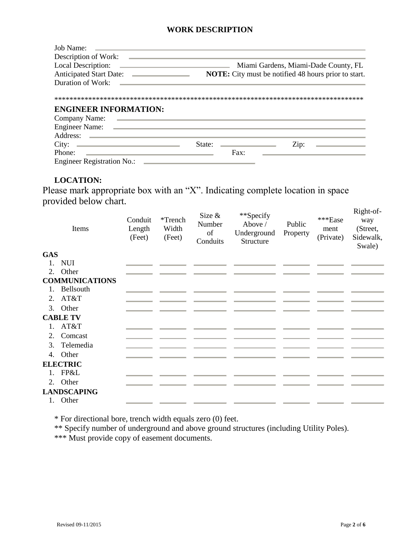#### **WORK DESCRIPTION**

| Job Name:                                                                                                                                                 |        |               |                                                             |
|-----------------------------------------------------------------------------------------------------------------------------------------------------------|--------|---------------|-------------------------------------------------------------|
| Description of Work:                                                                                                                                      |        |               |                                                             |
| Local Description:<br>the process of the control of the control of the control of the control of the control of                                           |        |               | Miami Gardens, Miami-Dade County, FL                        |
| <b>Anticipated Start Date:</b><br><u> The Common State Common State Common</u>                                                                            |        |               | <b>NOTE:</b> City must be notified 48 hours prior to start. |
| Duration of Work:                                                                                                                                         |        |               |                                                             |
| <b>ENGINEER INFORMATION:</b><br>Company Name:<br><b>Engineer Name:</b><br>the contract of the contract of the contract of the contract of the contract of |        |               |                                                             |
| Address:                                                                                                                                                  |        |               |                                                             |
| City:<br><u> Alexandria de la contrada de la contrada de la contrada de la contrada de la contrada de la contrada de la c</u>                             | State: |               | Zip:                                                        |
| Phone:                                                                                                                                                    |        | $\text{Fax}:$ |                                                             |
| <b>Engineer Registration No.:</b>                                                                                                                         |        |               |                                                             |

#### **LOCATION:**

Please mark appropriate box with an "X". Indicating complete location in space provided below chart.

|            | Items                 | Conduit<br>Length<br>(Feet) | *Trench<br>Width<br>(Feet) | Size $\&$<br>Number<br>of<br>Conduits | **Specify<br>Above /<br>Underground<br>Structure | Public<br>Property | ***Ease<br>ment<br>(Private) | Right-of-<br>way<br>(Street,<br>Sidewalk,<br>Swale) |
|------------|-----------------------|-----------------------------|----------------------------|---------------------------------------|--------------------------------------------------|--------------------|------------------------------|-----------------------------------------------------|
| <b>GAS</b> |                       |                             |                            |                                       |                                                  |                    |                              |                                                     |
|            | 1. NUI                |                             |                            |                                       |                                                  |                    |                              |                                                     |
|            | 2. Other              |                             |                            |                                       |                                                  |                    |                              |                                                     |
|            | <b>COMMUNICATIONS</b> |                             |                            |                                       |                                                  |                    |                              |                                                     |
|            | 1. Bellsouth          |                             |                            |                                       |                                                  |                    |                              |                                                     |
| 2.         | AT&T                  |                             |                            |                                       |                                                  |                    |                              |                                                     |
|            | 3. Other              |                             |                            |                                       |                                                  |                    |                              |                                                     |
|            | <b>CABLE TV</b>       |                             |                            |                                       |                                                  |                    |                              |                                                     |
|            | $1.$ AT&T             |                             |                            |                                       |                                                  |                    |                              |                                                     |
| 2.         | Comcast               |                             |                            |                                       |                                                  |                    |                              |                                                     |
| 3.         | Telemedia             |                             |                            |                                       |                                                  |                    |                              |                                                     |
|            | 4. Other              |                             |                            |                                       |                                                  |                    |                              |                                                     |
|            | <b>ELECTRIC</b>       |                             |                            |                                       |                                                  |                    |                              |                                                     |
|            | 1. FP&L               |                             |                            |                                       |                                                  |                    |                              |                                                     |
|            | 2. Other              |                             |                            |                                       |                                                  |                    |                              |                                                     |
|            | <b>LANDSCAPING</b>    |                             |                            |                                       |                                                  |                    |                              |                                                     |
|            | 1. Other              |                             |                            |                                       |                                                  |                    |                              |                                                     |

\* For directional bore, trench width equals zero (0) feet.

\*\* Specify number of underground and above ground structures (including Utility Poles).

\*\*\* Must provide copy of easement documents.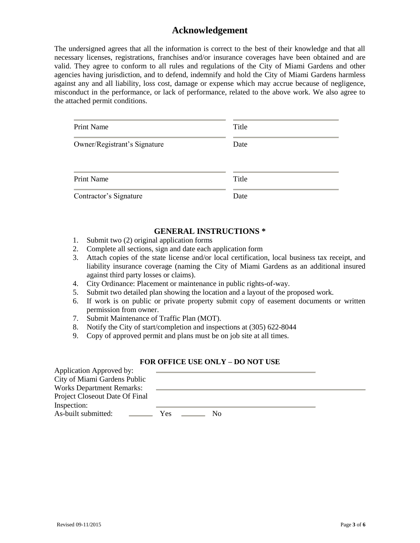### **Acknowledgement**

The undersigned agrees that all the information is correct to the best of their knowledge and that all necessary licenses, registrations, franchises and/or insurance coverages have been obtained and are valid. They agree to conform to all rules and regulations of the City of Miami Gardens and other agencies having jurisdiction, and to defend, indemnify and hold the City of Miami Gardens harmless against any and all liability, loss cost, damage or expense which may accrue because of negligence, misconduct in the performance, or lack of performance, related to the above work. We also agree to the attached permit conditions.

| <b>Print Name</b>            | Title |
|------------------------------|-------|
| Owner/Registrant's Signature | Date  |
| <b>Print Name</b>            | Title |
| Contractor's Signature       | Date  |

#### **GENERAL INSTRUCTIONS \***

- 1. Submit two (2) original application forms
- 2. Complete all sections, sign and date each application form
- 3. Attach copies of the state license and/or local certification, local business tax receipt, and liability insurance coverage (naming the City of Miami Gardens as an additional insured against third party losses or claims).
- 4. City Ordinance: Placement or maintenance in public rights-of-way.
- 5. Submit two detailed plan showing the location and a layout of the proposed work.
- 6. If work is on public or private property submit copy of easement documents or written permission from owner.
- 7. Submit Maintenance of Traffic Plan (MOT).
- 8. Notify the City of start/completion and inspections at (305) 622-8044
- 9. Copy of approved permit and plans must be on job site at all times.

#### **FOR OFFICE USE ONLY – DO NOT USE**

| Application Approved by:         |     |    |  |  |  |
|----------------------------------|-----|----|--|--|--|
| City of Miami Gardens Public     |     |    |  |  |  |
| <b>Works Department Remarks:</b> |     |    |  |  |  |
| Project Closeout Date Of Final   |     |    |  |  |  |
| Inspection:                      |     |    |  |  |  |
| As-built submitted:              | Yes | NΩ |  |  |  |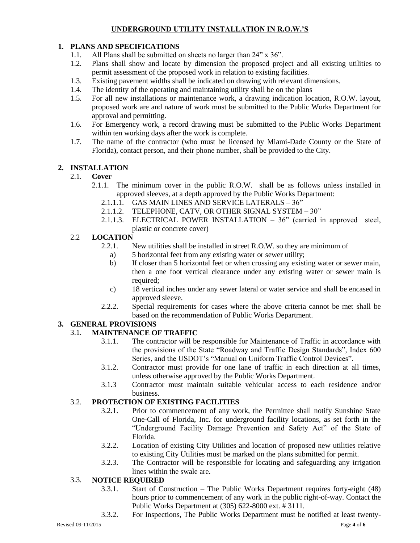#### **UNDERGROUND UTILITY INSTALLATION IN R.O.W.'S**

#### **1. PLANS AND SPECIFICATIONS**

- 1.1. All Plans shall be submitted on sheets no larger than 24" x 36".
- 1.2. Plans shall show and locate by dimension the proposed project and all existing utilities to permit assessment of the proposed work in relation to existing facilities.
- 1.3. Existing pavement widths shall be indicated on drawing with relevant dimensions.
- 1.4. The identity of the operating and maintaining utility shall be on the plans
- 1.5. For all new installations or maintenance work, a drawing indication location, R.O.W. layout, proposed work are and nature of work must be submitted to the Public Works Department for approval and permitting.
- 1.6. For Emergency work, a record drawing must be submitted to the Public Works Department within ten working days after the work is complete.
- 1.7. The name of the contractor (who must be licensed by Miami-Dade County or the State of Florida), contact person, and their phone number, shall be provided to the City.

#### **2. 2INSTALLATION**

#### 2.1. **Cover**

- 2.1.1. The minimum cover in the public R.O.W. shall be as follows unless installed in approved sleeves, at a depth approved by the Public Works Department:
	- 2.1.1.1. GAS MAIN LINES AND SERVICE LATERALS 36"
	- 2.1.1.2. TELEPHONE, CATV, OR OTHER SIGNAL SYSTEM 30"
	- 2.1.1.3. ELECTRICAL POWER INSTALLATION 36" (carried in approved steel, plastic or concrete cover)

#### 2.2 **LOCATION**

- 2.2.1. New utilities shall be installed in street R.O.W. so they are minimum of
	- a) 5 horizontal feet from any existing water or sewer utility;
	- b) If closer than 5 horizontal feet or when crossing any existing water or sewer main, then a one foot vertical clearance under any existing water or sewer main is required:
	- c) 18 vertical inches under any sewer lateral or water service and shall be encased in approved sleeve.
- 2.2.2. Special requirements for cases where the above criteria cannot be met shall be based on the recommendation of Public Works Department.

#### **3. GENERAL PROVISIONS**

#### 3.1. **MAINTENANCE OF TRAFFIC**

- 3.1.1. The contractor will be responsible for Maintenance of Traffic in accordance with the provisions of the State "Roadway and Traffic Design Standards", Index 600 Series, and the USDOT's "Manual on Uniform Traffic Control Devices".
- 3.1.2. Contractor must provide for one lane of traffic in each direction at all times, unless otherwise approved by the Public Works Department.
- 3.1.3 Contractor must maintain suitable vehicular access to each residence and/or business.

#### 3.2. **PROTECTION OF EXISTING FACILITIES**

- 3.2.1. Prior to commencement of any work, the Permittee shall notify Sunshine State One-Call of Florida, Inc. for underground facility locations, as set forth in the "Underground Facility Damage Prevention and Safety Act" of the State of Florida.
- 3.2.2. Location of existing City Utilities and location of proposed new utilities relative to existing City Utilities must be marked on the plans submitted for permit.
- 3.2.3. The Contractor will be responsible for locating and safeguarding any irrigation lines within the swale are.

#### 3.3. **NOTICE REQUIRED**

- 3.3.1. Start of Construction The Public Works Department requires forty-eight (48) hours prior to commencement of any work in the public right-of-way. Contact the Public Works Department at (305) 622-8000 ext. # 3111.
- 3.3.2. For Inspections, The Public Works Department must be notified at least twenty-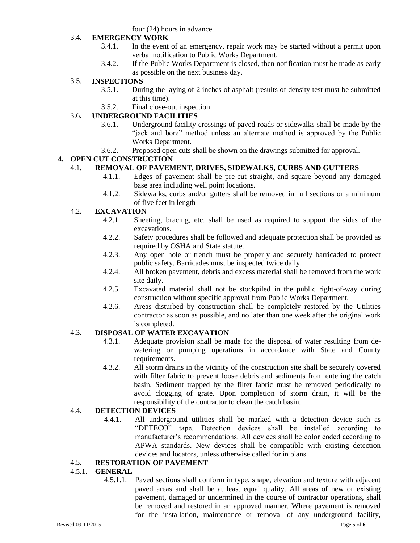four (24) hours in advance.

#### 3.4. **EMERGENCY WORK**

- 3.4.1. In the event of an emergency, repair work may be started without a permit upon verbal notification to Public Works Department.
- 3.4.2. If the Public Works Department is closed, then notification must be made as early as possible on the next business day.

#### 3.5. **INSPECTIONS**

- 3.5.1. During the laying of 2 inches of asphalt (results of density test must be submitted at this time).
- 3.5.2. Final close-out inspection

#### 3.6. **UNDERGROUND FACILITIES**

- 3.6.1. Underground facility crossings of paved roads or sidewalks shall be made by the "jack and bore" method unless an alternate method is approved by the Public Works Department.
- 3.6.2. Proposed open cuts shall be shown on the drawings submitted for approval.

#### **4. OPEN CUT CONSTRUCTION**

#### 4.1. **REMOVAL OF PAVEMENT, DRIVES, SIDEWALKS, CURBS AND GUTTERS**

- 4.1.1. Edges of pavement shall be pre-cut straight, and square beyond any damaged base area including well point locations.
- 4.1.2. Sidewalks, curbs and/or gutters shall be removed in full sections or a minimum of five feet in length

#### 4.2. **EXCAVATION**

- 4.2.1. Sheeting, bracing, etc. shall be used as required to support the sides of the excavations.
- 4.2.2. Safety procedures shall be followed and adequate protection shall be provided as required by OSHA and State statute.
- 4.2.3. Any open hole or trench must be properly and securely barricaded to protect public safety. Barricades must be inspected twice daily.
- 4.2.4. All broken pavement, debris and excess material shall be removed from the work site daily.
- 4.2.5. Excavated material shall not be stockpiled in the public right-of-way during construction without specific approval from Public Works Department.
- 4.2.6. Areas disturbed by construction shall be completely restored by the Utilities contractor as soon as possible, and no later than one week after the original work is completed.

#### 4.3. **DISPOSAL OF WATER EXCAVATION**

- 4.3.1. Adequate provision shall be made for the disposal of water resulting from dewatering or pumping operations in accordance with State and County requirements.
- 4.3.2. All storm drains in the vicinity of the construction site shall be securely covered with filter fabric to prevent loose debris and sediments from entering the catch basin. Sediment trapped by the filter fabric must be removed periodically to avoid clogging of grate. Upon completion of storm drain, it will be the responsibility of the contractor to clean the catch basin.

#### 4.4. **DETECTION DEVICES**

4.4.1. All underground utilities shall be marked with a detection device such as "DETECO" tape. Detection devices shall be installed according to manufacturer's recommendations. All devices shall be color coded according to APWA standards. New devices shall be compatible with existing detection devices and locators, unless otherwise called for in plans.

#### 4.5. **RESTORATION OF PAVEMENT**

#### 4.5.1. **GENERAL**

4.5.1.1. Paved sections shall conform in type, shape, elevation and texture with adjacent paved areas and shall be at least equal quality. All areas of new or existing pavement, damaged or undermined in the course of contractor operations, shall be removed and restored in an approved manner. Where pavement is removed for the installation, maintenance or removal of any underground facility,